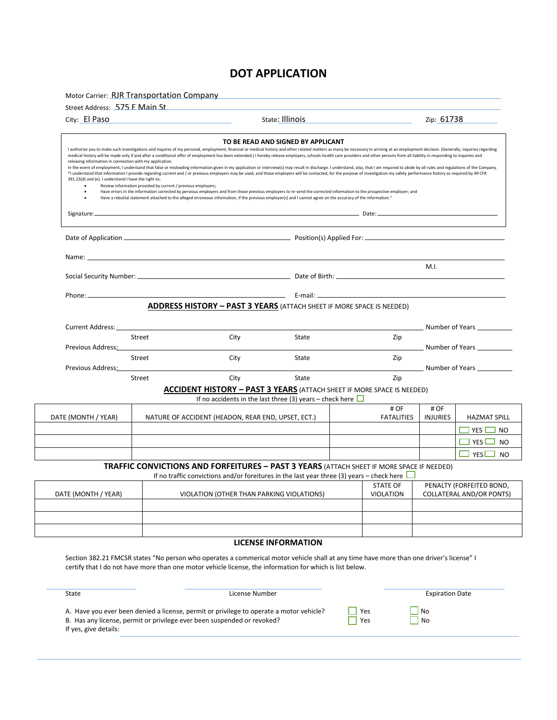## **DOT APPLICATION**

Motor Carrier: RJR Transportation Company

| City: El Paso                                                                                                    |        |                                                                                                                                                                                                                                                                                                                                                                                                                                                                                                                                                                                                                                                                                                                                                                                                                                                                                                                                                                                                                                                                                                                                                                                                                                                                                                                                                                                     | State: Illinois |                                     | Zip: 61738              |                                                                     |
|------------------------------------------------------------------------------------------------------------------|--------|-------------------------------------------------------------------------------------------------------------------------------------------------------------------------------------------------------------------------------------------------------------------------------------------------------------------------------------------------------------------------------------------------------------------------------------------------------------------------------------------------------------------------------------------------------------------------------------------------------------------------------------------------------------------------------------------------------------------------------------------------------------------------------------------------------------------------------------------------------------------------------------------------------------------------------------------------------------------------------------------------------------------------------------------------------------------------------------------------------------------------------------------------------------------------------------------------------------------------------------------------------------------------------------------------------------------------------------------------------------------------------------|-----------------|-------------------------------------|-------------------------|---------------------------------------------------------------------|
| releasing information in connection with my application.<br>391.23(d) and (e). I understand I have the right to: |        | TO BE READ AND SIGNED BY APPLICANT<br>I authorize you to make such investigations and inquires of my personal, employment, financial or medical history and other related matters as many be necessary in arriving at an employment decision. (Generally, inquiries<br>medical history will be made only if and after a conditional offer of employment has been extended.) I hereby release employers, schools health care providers and other persons from all liability in responding to inquiries<br>In the event of employment, I understand that false or misleading information given in my application or interview(s) may result in discharge. I understand, also, that I am required to abide by all rules and regulations of<br>*I understand that information I provide regarding current and / or previous employers may be used, and those employers will be contacted, for the purpose of investigation my safety performance history as required by 49 CF<br>Review information provided by current / previous employers;<br>Have errors in the information corrected by pervious employers and from those previous employers to re-send the corrected information to the prospective employer; and<br>Have a rebuttal statement attached to the alleged erroneous information, if the previous employer(s) and I cannot agree on the accuracy of the information." |                 |                                     |                         |                                                                     |
| Signature:                                                                                                       |        | ,我们也不能不能会有什么。""我们的人,我们也不能会不能会不能会不能会不能会。""我们的人,我们也不能会不能会不能会不能会不能会不能会不能会不能会不能会不能会不                                                                                                                                                                                                                                                                                                                                                                                                                                                                                                                                                                                                                                                                                                                                                                                                                                                                                                                                                                                                                                                                                                                                                                                                                                                                                                    |                 |                                     |                         |                                                                     |
|                                                                                                                  |        |                                                                                                                                                                                                                                                                                                                                                                                                                                                                                                                                                                                                                                                                                                                                                                                                                                                                                                                                                                                                                                                                                                                                                                                                                                                                                                                                                                                     |                 |                                     |                         |                                                                     |
|                                                                                                                  |        | Social Security Number: 2008 Contract Department of the Date of Birth: 2008 Contract Department of the Date of Birth: 2008 Contract Department of the Date of Birth: 2008 Contract Department of the Date of Birth: 2008 Contr                                                                                                                                                                                                                                                                                                                                                                                                                                                                                                                                                                                                                                                                                                                                                                                                                                                                                                                                                                                                                                                                                                                                                      |                 |                                     | M.I.                    |                                                                     |
|                                                                                                                  |        | <b>ADDRESS HISTORY - PAST 3 YEARS (ATTACH SHEET IF MORE SPACE IS NEEDED)</b>                                                                                                                                                                                                                                                                                                                                                                                                                                                                                                                                                                                                                                                                                                                                                                                                                                                                                                                                                                                                                                                                                                                                                                                                                                                                                                        |                 |                                     |                         |                                                                     |
| Current Address:                                                                                                 |        |                                                                                                                                                                                                                                                                                                                                                                                                                                                                                                                                                                                                                                                                                                                                                                                                                                                                                                                                                                                                                                                                                                                                                                                                                                                                                                                                                                                     |                 |                                     |                         | <b>Solution Number of Years</b>                                     |
| Previous Address:                                                                                                | Street | City                                                                                                                                                                                                                                                                                                                                                                                                                                                                                                                                                                                                                                                                                                                                                                                                                                                                                                                                                                                                                                                                                                                                                                                                                                                                                                                                                                                | State           | Zip                                 |                         |                                                                     |
| City<br>Street<br>Previous Address:                                                                              |        |                                                                                                                                                                                                                                                                                                                                                                                                                                                                                                                                                                                                                                                                                                                                                                                                                                                                                                                                                                                                                                                                                                                                                                                                                                                                                                                                                                                     | State           | Zip                                 |                         | Number of Years                                                     |
|                                                                                                                  | Street | City                                                                                                                                                                                                                                                                                                                                                                                                                                                                                                                                                                                                                                                                                                                                                                                                                                                                                                                                                                                                                                                                                                                                                                                                                                                                                                                                                                                | <b>State</b>    | Zip                                 |                         |                                                                     |
|                                                                                                                  |        | <b>ACCIDENT HISTORY - PAST 3 YEARS (ATTACH SHEET IF MORE SPACE IS NEEDED)</b><br>If no accidents in the last three (3) years – check here $\Box$                                                                                                                                                                                                                                                                                                                                                                                                                                                                                                                                                                                                                                                                                                                                                                                                                                                                                                                                                                                                                                                                                                                                                                                                                                    |                 |                                     |                         |                                                                     |
| DATE (MONTH / YEAR)                                                                                              |        | NATURE OF ACCIDENT (HEADON, REAR END, UPSET, ECT.)                                                                                                                                                                                                                                                                                                                                                                                                                                                                                                                                                                                                                                                                                                                                                                                                                                                                                                                                                                                                                                                                                                                                                                                                                                                                                                                                  |                 | # OF<br><b>FATALITIES</b>           | # OF<br><b>INJURIES</b> | <b>HAZMAT SPILL</b>                                                 |
|                                                                                                                  |        |                                                                                                                                                                                                                                                                                                                                                                                                                                                                                                                                                                                                                                                                                                                                                                                                                                                                                                                                                                                                                                                                                                                                                                                                                                                                                                                                                                                     |                 |                                     |                         | ] YES [<br>NO                                                       |
|                                                                                                                  |        |                                                                                                                                                                                                                                                                                                                                                                                                                                                                                                                                                                                                                                                                                                                                                                                                                                                                                                                                                                                                                                                                                                                                                                                                                                                                                                                                                                                     |                 |                                     |                         | $\Box$ YES $\Box$<br>N <sub>O</sub><br>$\Box$ YES<br>N <sub>O</sub> |
|                                                                                                                  |        | TRAFFIC CONVICTIONS AND FORFEITURES - PAST 3 YEARS (ATTACH SHEET IF MORE SPACE IF NEEDED)<br>If no traffic convictions and/or foreitures in the last year three (3) years – check here $\mathsf L$                                                                                                                                                                                                                                                                                                                                                                                                                                                                                                                                                                                                                                                                                                                                                                                                                                                                                                                                                                                                                                                                                                                                                                                  |                 |                                     |                         |                                                                     |
| DATE (MONTH / YEAR)                                                                                              |        | VIOLATION (OTHER THAN PARKING VIOLATIONS)                                                                                                                                                                                                                                                                                                                                                                                                                                                                                                                                                                                                                                                                                                                                                                                                                                                                                                                                                                                                                                                                                                                                                                                                                                                                                                                                           |                 | <b>STATE OF</b><br><b>VIOLATION</b> |                         | PENALTY (FORFEITED BOND,<br><b>COLLATERAL AND/OR PONTS)</b>         |
|                                                                                                                  |        |                                                                                                                                                                                                                                                                                                                                                                                                                                                                                                                                                                                                                                                                                                                                                                                                                                                                                                                                                                                                                                                                                                                                                                                                                                                                                                                                                                                     |                 |                                     |                         |                                                                     |
|                                                                                                                  |        |                                                                                                                                                                                                                                                                                                                                                                                                                                                                                                                                                                                                                                                                                                                                                                                                                                                                                                                                                                                                                                                                                                                                                                                                                                                                                                                                                                                     |                 |                                     |                         |                                                                     |

### **LICENSE INFORMATION**

Section 382.21 FMCSR states "No person who operates a commerical motor vehicle shall at any time have more than one driver's license" I certify that I do not have more than one motor vehicle license, the information for which is list below.

| State                 | License Number                                                                          |     | <b>Expiration Date</b> |
|-----------------------|-----------------------------------------------------------------------------------------|-----|------------------------|
| If yes, give details: | A. Have you ever been denied a license, permit or privilege to operate a motor vehicle? | Yes | N <sub>o</sub>         |
|                       | B. Has any license, permit or privilege ever been suspended or revoked?                 | Yes | <b>No</b>              |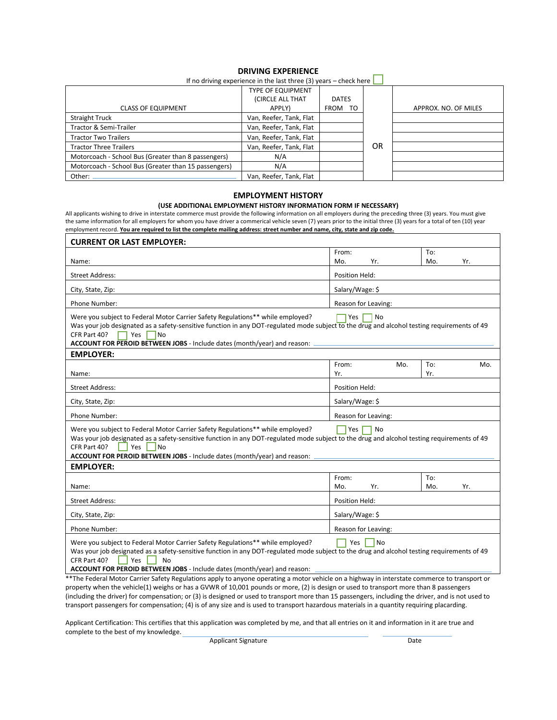### **DRIVING EXPERIENCE**

|                                                      | If you write it will be controlled in the last times (3) years – crieck nere. L |              |    |                      |
|------------------------------------------------------|---------------------------------------------------------------------------------|--------------|----|----------------------|
|                                                      | <b>TYPE OF EQUIPMENT</b>                                                        |              |    |                      |
|                                                      | (CIRCLE ALL THAT                                                                | <b>DATES</b> |    |                      |
| <b>CLASS OF EQUIPMENT</b>                            | APPLY)                                                                          | FROM<br>TO   |    | APPROX. NO. OF MILES |
| <b>Straight Truck</b>                                | Van, Reefer, Tank, Flat                                                         |              |    |                      |
| Tractor & Semi-Trailer                               | Van, Reefer, Tank, Flat                                                         |              |    |                      |
| <b>Tractor Two Trailers</b>                          | Van, Reefer, Tank, Flat                                                         |              |    |                      |
| <b>Tractor Three Trailers</b>                        | Van, Reefer, Tank, Flat                                                         |              | 0R |                      |
| Motorcoach - School Bus (Greater than 8 passengers)  | N/A                                                                             |              |    |                      |
| Motorcoach - School Bus (Greater than 15 passengers) | N/A                                                                             |              |    |                      |
| Other:                                               | Van, Reefer, Tank, Flat                                                         |              |    |                      |

If no driving experience in the last three (3) years – check here  $\Box$ 

### **EMPLOYMENT HISTORY**

### **(USE ADDITIONAL EMPLOYMENT HISTORY INFORMATION FORM IF NECESSARY)**

All applicants wishing to drive in interstate commerce must provide the following information on all employers during the preceding three (3) years. You must give the same information for all employers for whom you have driver a commerical vehicle seven (7) years prior to the initial three (3) years for a total of ten (10) year employment record. **You are required to list the complete mailing address: street number and name, city, state and zip code.** 

| <b>CURRENT OR LAST EMPLOYER:</b>                                                                                                                                                                                                                                                                                                                     |                     |            |     |
|------------------------------------------------------------------------------------------------------------------------------------------------------------------------------------------------------------------------------------------------------------------------------------------------------------------------------------------------------|---------------------|------------|-----|
|                                                                                                                                                                                                                                                                                                                                                      | From:               | To:        |     |
| Name:                                                                                                                                                                                                                                                                                                                                                | Mo.<br>Yr.          | Mo.        | Yr. |
| <b>Street Address:</b>                                                                                                                                                                                                                                                                                                                               | Position Held:      |            |     |
| City, State, Zip:                                                                                                                                                                                                                                                                                                                                    | Salary/Wage: \$     |            |     |
| Phone Number:                                                                                                                                                                                                                                                                                                                                        | Reason for Leaving: |            |     |
| Were you subject to Federal Motor Carrier Safety Regulations** while employed?<br>Was your job designated as a safety-sensitive function in any DOT-regulated mode subject to the drug and alcohol testing requirements of 49<br>CFR Part 40?<br>Yes<br><b>No</b><br>ACCOUNT FOR PEROID BETWEEN JOBS - Include dates (month/year) and reason:        | No<br>Yes           |            |     |
| <b>EMPLOYER:</b>                                                                                                                                                                                                                                                                                                                                     |                     |            |     |
| Name:                                                                                                                                                                                                                                                                                                                                                | From:<br>Mo.<br>Yr. | To:<br>Yr. | Mo. |
| <b>Street Address:</b>                                                                                                                                                                                                                                                                                                                               | Position Held:      |            |     |
| City, State, Zip:                                                                                                                                                                                                                                                                                                                                    | Salary/Wage: \$     |            |     |
|                                                                                                                                                                                                                                                                                                                                                      |                     |            |     |
| Phone Number:                                                                                                                                                                                                                                                                                                                                        | Reason for Leaving: |            |     |
| Were you subject to Federal Motor Carrier Safety Regulations** while employed?<br>Was your job designated as a safety-sensitive function in any DOT-regulated mode subject to the drug and alcohol testing requirements of 49<br>CFR Part 40?<br>Yes<br>N <sub>o</sub><br>ACCOUNT FOR PEROID BETWEEN JOBS - Include dates (month/year) and reason: _ | <b>l</b> Yes<br>No  |            |     |
| <b>EMPLOYER:</b>                                                                                                                                                                                                                                                                                                                                     |                     |            |     |
| Name:                                                                                                                                                                                                                                                                                                                                                | From:<br>Mo.<br>Yr. | To:<br>Mo. | Yr. |
| <b>Street Address:</b>                                                                                                                                                                                                                                                                                                                               | Position Held:      |            |     |
| City, State, Zip:                                                                                                                                                                                                                                                                                                                                    | Salary/Wage: \$     |            |     |
| Phone Number:                                                                                                                                                                                                                                                                                                                                        | Reason for Leaving: |            |     |
| Were you subject to Federal Motor Carrier Safety Regulations** while employed?<br>Was your job designated as a safety-sensitive function in any DOT-regulated mode subject to the drug and alcohol testing requirements of 49<br>CFR Part 40?<br>Yes<br><b>No</b><br>ACCOUNT FOR PEROID BETWEEN JOBS - Include dates (month/year) and reason:        | Yes<br><b>No</b>    |            |     |
| **The Federal Motor Carrier Safety Regulations apply to anyone operating a motor vehicle on a highway in interstate commerce to transport or                                                                                                                                                                                                         |                     |            |     |

property when the vehicle(1) weighs or has a GVWR of 10,001 pounds or more, (2) is design or used to transport more than 8 passengers (including the driver) for compensation; or (3) is designed or used to transport more than 15 passengers, including the driver, and is not used to transport passengers for compensation; (4) is of any size and is used to transport hazardous materials in a quantity requiring placarding.

Applicant Certification: This certifies that this application was completed by me, and that all entries on it and information in it are true and complete to the best of my knowledge.

Applicant Signature Date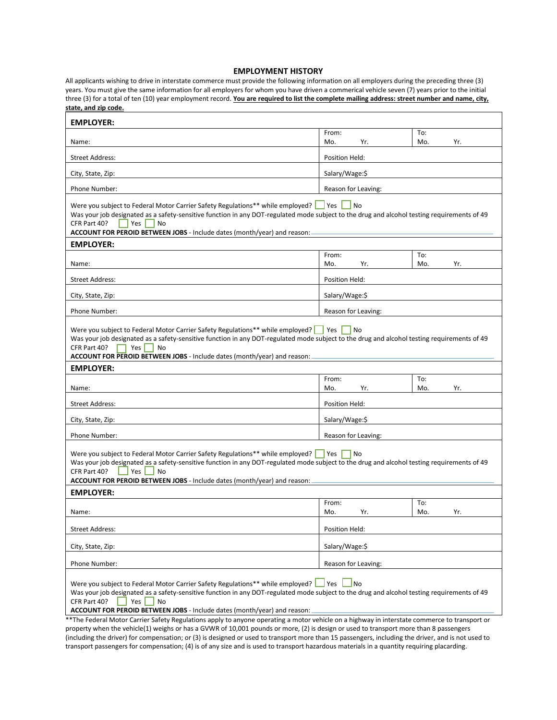#### **EMPLOYMENT HISTORY**

All applicants wishing to drive in interstate commerce must provide the following information on all employers during the preceding three (3) years. You must give the same information for all employers for whom you have driven a commerical vehicle seven (7) years prior to the initial three (3) for a total of ten (10) year employment record. **You are required to list the complete mailing address: street number and name, city, state, and zip code.**

| <b>EMPLOYER:</b>                                                                                                                                                                                                                                                                                                                                                                                                                                                                              |                     |                   |  |  |
|-----------------------------------------------------------------------------------------------------------------------------------------------------------------------------------------------------------------------------------------------------------------------------------------------------------------------------------------------------------------------------------------------------------------------------------------------------------------------------------------------|---------------------|-------------------|--|--|
| Name:                                                                                                                                                                                                                                                                                                                                                                                                                                                                                         | From:<br>Mo.<br>Yr. | To:<br>Mo.<br>Yr. |  |  |
| <b>Street Address:</b>                                                                                                                                                                                                                                                                                                                                                                                                                                                                        | Position Held:      |                   |  |  |
| City, State, Zip:                                                                                                                                                                                                                                                                                                                                                                                                                                                                             | Salary/Wage:\$      |                   |  |  |
| Phone Number:                                                                                                                                                                                                                                                                                                                                                                                                                                                                                 | Reason for Leaving: |                   |  |  |
| Were you subject to Federal Motor Carrier Safety Regulations** while employed?<br>No<br>Was your job designated as a safety-sensitive function in any DOT-regulated mode subject to the drug and alcohol testing requirements of 49<br>CFR Part 40?<br>Yes<br>No<br>ACCOUNT FOR PEROID BETWEEN JOBS - Include dates (month/year) and reason: -                                                                                                                                                |                     |                   |  |  |
| <b>EMPLOYER:</b>                                                                                                                                                                                                                                                                                                                                                                                                                                                                              |                     |                   |  |  |
| Name:                                                                                                                                                                                                                                                                                                                                                                                                                                                                                         | From:<br>Mo.<br>Yr. | To:<br>Mo.<br>Yr. |  |  |
| <b>Street Address:</b>                                                                                                                                                                                                                                                                                                                                                                                                                                                                        | Position Held:      |                   |  |  |
| City, State, Zip:                                                                                                                                                                                                                                                                                                                                                                                                                                                                             | Salary/Wage:\$      |                   |  |  |
| Phone Number:                                                                                                                                                                                                                                                                                                                                                                                                                                                                                 | Reason for Leaving: |                   |  |  |
| Were you subject to Federal Motor Carrier Safety Regulations** while employed?<br>Yes<br>No<br>Was your job designated as a safety-sensitive function in any DOT-regulated mode subject to the drug and alcohol testing requirements of 49<br>CFR Part 40?<br>Yes  <br>No<br>ACCOUNT FOR PEROID BETWEEN JOBS - Include dates (month/year) and reason:<br><b>EMPLOYER:</b>                                                                                                                     |                     |                   |  |  |
| Name:                                                                                                                                                                                                                                                                                                                                                                                                                                                                                         | From:<br>Mo.<br>Yr. | To:<br>Mo.<br>Yr. |  |  |
| <b>Street Address:</b>                                                                                                                                                                                                                                                                                                                                                                                                                                                                        | Position Held:      |                   |  |  |
| City, State, Zip:                                                                                                                                                                                                                                                                                                                                                                                                                                                                             | Salary/Wage:\$      |                   |  |  |
| Phone Number:                                                                                                                                                                                                                                                                                                                                                                                                                                                                                 | Reason for Leaving: |                   |  |  |
| Were you subject to Federal Motor Carrier Safety Regulations** while employed?<br>Yes<br>No<br>Was your job designated as a safety-sensitive function in any DOT-regulated mode subject to the drug and alcohol testing requirements of 49<br>CFR Part 40?<br>Yes<br><b>No</b><br>ACCOUNT FOR PEROID BETWEEN JOBS - Include dates (month/year) and reason: .                                                                                                                                  |                     |                   |  |  |
| <b>EMPLOYER:</b>                                                                                                                                                                                                                                                                                                                                                                                                                                                                              | From:               | To:               |  |  |
| Name:                                                                                                                                                                                                                                                                                                                                                                                                                                                                                         | Mo.<br>Yr.          | Mo.<br>Yr.        |  |  |
| <b>Street Address:</b>                                                                                                                                                                                                                                                                                                                                                                                                                                                                        | Position Held:      |                   |  |  |
| City, State, Zip:                                                                                                                                                                                                                                                                                                                                                                                                                                                                             | Salary/Wage:\$      |                   |  |  |
| Phone Number:                                                                                                                                                                                                                                                                                                                                                                                                                                                                                 | Reason for Leaving: |                   |  |  |
| Were you subject to Federal Motor Carrier Safety Regulations** while employed? Ves Mo<br>Was your job designated as a safety-sensitive function in any DOT-regulated mode subject to the drug and alcohol testing requirements of 49<br>CFR Part 40?<br>Yes<br>No<br>ACCOUNT FOR PEROID BETWEEN JOBS - Include dates (month/year) and reason:<br>**The Federal Motor Carrier Safety Regulations apply to anyone operating a motor vehicle on a highway in interstate commerce to transport or |                     |                   |  |  |

property when the vehicle(1) weighs or has a GVWR of 10,001 pounds or more, (2) is design or used to transport more than 8 passengers (including the driver) for compensation; or (3) is designed or used to transport more than 15 passengers, including the driver, and is not used to transport passengers for compensation; (4) is of any size and is used to transport hazardous materials in a quantity requiring placarding.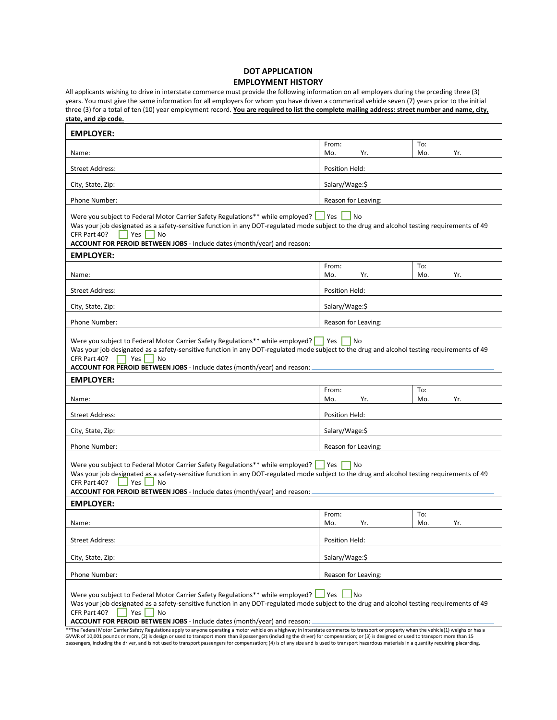### **DOT APPLICATION EMPLOYMENT HISTORY**

All applicants wishing to drive in interstate commerce must provide the following information on all employers during the prceding three (3) years. You must give the same information for all employers for whom you have driven a commerical vehicle seven (7) years prior to the initial three (3) for a total of ten (10) year employment record. You are required to list the complete mailing address: street number and name, city, **state, and zip code.**

| <b>EMPLOYER:</b>                                                                                                                                                                                                                                                                                                                                                                                                                                                                                                                                       |                     |                   |  |  |
|--------------------------------------------------------------------------------------------------------------------------------------------------------------------------------------------------------------------------------------------------------------------------------------------------------------------------------------------------------------------------------------------------------------------------------------------------------------------------------------------------------------------------------------------------------|---------------------|-------------------|--|--|
| Name:                                                                                                                                                                                                                                                                                                                                                                                                                                                                                                                                                  | From:<br>Mo.<br>Yr. | To:<br>Mo.<br>Yr. |  |  |
| <b>Street Address:</b>                                                                                                                                                                                                                                                                                                                                                                                                                                                                                                                                 | Position Held:      |                   |  |  |
| City, State, Zip:                                                                                                                                                                                                                                                                                                                                                                                                                                                                                                                                      | Salary/Wage:\$      |                   |  |  |
| Phone Number:                                                                                                                                                                                                                                                                                                                                                                                                                                                                                                                                          | Reason for Leaving: |                   |  |  |
| Were you subject to Federal Motor Carrier Safety Regulations** while employed?<br><b>Yes</b><br>No<br>Was your job designated as a safety-sensitive function in any DOT-regulated mode subject to the drug and alcohol testing requirements of 49<br>CFR Part 40?<br>Yes<br>No<br>ACCOUNT FOR PEROID BETWEEN JOBS - Include dates (month/year) and reason:                                                                                                                                                                                             |                     |                   |  |  |
| <b>EMPLOYER:</b>                                                                                                                                                                                                                                                                                                                                                                                                                                                                                                                                       |                     |                   |  |  |
| Name:                                                                                                                                                                                                                                                                                                                                                                                                                                                                                                                                                  | From:<br>Mo.<br>Yr. | To:<br>Mo.<br>Yr. |  |  |
| <b>Street Address:</b>                                                                                                                                                                                                                                                                                                                                                                                                                                                                                                                                 | Position Held:      |                   |  |  |
| City, State, Zip:                                                                                                                                                                                                                                                                                                                                                                                                                                                                                                                                      | Salary/Wage:\$      |                   |  |  |
| Phone Number:                                                                                                                                                                                                                                                                                                                                                                                                                                                                                                                                          | Reason for Leaving: |                   |  |  |
| Were you subject to Federal Motor Carrier Safety Regulations** while employed?   Yes<br><b>No</b><br>Was your job designated as a safety-sensitive function in any DOT-regulated mode subject to the drug and alcohol testing requirements of 49<br>CFR Part 40?<br>Yes<br>No<br>ACCOUNT FOR PEROID BETWEEN JOBS - Include dates (month/year) and reason:<br><b>EMPLOYER:</b>                                                                                                                                                                          |                     |                   |  |  |
|                                                                                                                                                                                                                                                                                                                                                                                                                                                                                                                                                        | From:               | To:               |  |  |
| Name:                                                                                                                                                                                                                                                                                                                                                                                                                                                                                                                                                  | Mo.<br>Yr.          | Mo.<br>Yr.        |  |  |
| Street Address:                                                                                                                                                                                                                                                                                                                                                                                                                                                                                                                                        | Position Held:      |                   |  |  |
| City, State, Zip:                                                                                                                                                                                                                                                                                                                                                                                                                                                                                                                                      | Salary/Wage:\$      |                   |  |  |
| Phone Number:                                                                                                                                                                                                                                                                                                                                                                                                                                                                                                                                          | Reason for Leaving: |                   |  |  |
| Were you subject to Federal Motor Carrier Safety Regulations** while employed?   Yes<br>No<br>Was your job designated as a safety-sensitive function in any DOT-regulated mode subject to the drug and alcohol testing requirements of 49<br>CFR Part 40?<br>Yes<br>No<br>ACCOUNT FOR PEROID BETWEEN JOBS - Include dates (month/year) and reason:<br><b>EMPLOYER:</b>                                                                                                                                                                                 |                     |                   |  |  |
| Name:                                                                                                                                                                                                                                                                                                                                                                                                                                                                                                                                                  | From:<br>Mo.<br>Yr. | To:<br>Mo.<br>Yr. |  |  |
| <b>Street Address:</b>                                                                                                                                                                                                                                                                                                                                                                                                                                                                                                                                 | Position Held:      |                   |  |  |
| City, State, Zip:                                                                                                                                                                                                                                                                                                                                                                                                                                                                                                                                      | Salary/Wage:\$      |                   |  |  |
| Phone Number:                                                                                                                                                                                                                                                                                                                                                                                                                                                                                                                                          | Reason for Leaving: |                   |  |  |
| Were you subject to Federal Motor Carrier Safety Regulations** while employed?   Yes<br><b>No</b><br>Was your job designated as a safety-sensitive function in any DOT-regulated mode subject to the drug and alcohol testing requirements of 49<br>CFR Part 40?<br>Yes<br>No<br>ACCOUNT FOR PEROID BETWEEN JOBS - Include dates (month/year) and reason:<br>**The Federal Motor Carrier Safety Regulations apply to anyone operating a motor vehicle on a highway in interstate commerce to transport or property when the vehicle(1) weighs or has a |                     |                   |  |  |

\*\*The Federal Motor Carrier Safety Regulations apply to anyone operating a motor vehicle on a highway in interstate commerce to transport or property when the vehicle(1) weighs or has a<br>GVWR of 10,001 pounds or more, (2) i passengers, including the driver, and is not used to transport passengers for compensation; (4) is of any size and is used to transport hazardous materials in a quantity requiring placarding.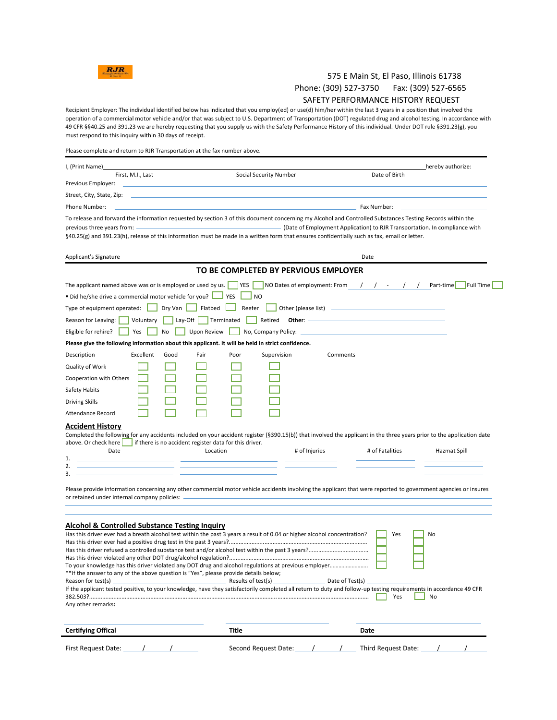

# 575 E Main St, El Paso, Illinois 61738 Phone: (309) 527-3750 Fax: (309) 527-6565

### SAFETY PERFORMANCE HISTORY REQUEST

Recipient Employer: The individual identified below has indicated that you employ(ed) or use(d) him/her within the last 3 years in a position that involved the operation of a commercial motor vehicle and/or that was subject to U.S. Department of Transportation (DOT) regulated drug and alcohol testing. In accordance with 49 CFR §§40.25 and 391.23 we are hereby requesting that you supply us with the Safety Performance History of this individual. Under DOT rule §391.23(g), you must respond to this inquiry within 30 days of receipt.

Please complete and return to RJR Transportation at the fax number above.

| I, (Print Name)                                                                                                                                                                                                                                                                                                                            |                                                                            | hereby authorize:      |
|--------------------------------------------------------------------------------------------------------------------------------------------------------------------------------------------------------------------------------------------------------------------------------------------------------------------------------------------|----------------------------------------------------------------------------|------------------------|
| First, M.I., Last<br>Previous Employer:                                                                                                                                                                                                                                                                                                    | Social Security Number                                                     | Date of Birth          |
| Street, City, State, Zip:                                                                                                                                                                                                                                                                                                                  |                                                                            |                        |
| Phone Number:                                                                                                                                                                                                                                                                                                                              |                                                                            | Fax Number:            |
| To release and forward the information requested by section 3 of this document concerning my Alcohol and Controlled Substances Testing Records within the<br>previous three years from: -<br>§40.25(g) and 391.23(h), release of this information must be made in a written form that ensures confidentially such as fax, email or letter. | (Date of Employment Application) to RJR Transportation. In compliance with |                        |
| Applicant's Signature                                                                                                                                                                                                                                                                                                                      |                                                                            | Date                   |
|                                                                                                                                                                                                                                                                                                                                            | TO BE COMPLETED BY PERVIOUS EMPLOYER                                       |                        |
|                                                                                                                                                                                                                                                                                                                                            |                                                                            |                        |
| The applicant named above was or is employed or used by us.                                                                                                                                                                                                                                                                                | <b>YES</b><br>NO Dates of employment: From $/$ / - /                       | Full Time<br>Part-time |
| ■ Did he/she drive a commercial motor vehicle for you? $\Box$                                                                                                                                                                                                                                                                              | $\Box$ YES<br>J NO                                                         |                        |
| Dry Van $\Box$ Flatbed<br>Type of equipment operated: $\Box$                                                                                                                                                                                                                                                                               | Reefer<br>Other (please list) <u>___________________________________</u>   |                        |
| Reason for Leaving:<br>Voluntary<br>Lay-Off $\lceil$<br>Terminated                                                                                                                                                                                                                                                                         |                                                                            |                        |
| Upon Review<br>Eligible for rehire?<br>Yes<br>No                                                                                                                                                                                                                                                                                           | No, Company Policy:                                                        |                        |
| Please give the following information about this applicant. It will be held in strict confidence.                                                                                                                                                                                                                                          |                                                                            |                        |
| Description<br>Excellent<br>Good<br>Fair                                                                                                                                                                                                                                                                                                   | Supervision<br>Poor<br>Comments                                            |                        |
| Quality of Work                                                                                                                                                                                                                                                                                                                            |                                                                            |                        |
| Cooperation with Others                                                                                                                                                                                                                                                                                                                    |                                                                            |                        |
| Safety Habits                                                                                                                                                                                                                                                                                                                              |                                                                            |                        |
| <b>Driving Skills</b>                                                                                                                                                                                                                                                                                                                      |                                                                            |                        |
| Attendance Record                                                                                                                                                                                                                                                                                                                          |                                                                            |                        |
| <b>Accident History</b>                                                                                                                                                                                                                                                                                                                    |                                                                            |                        |
| Completed the following for any accidents included on your accident register (§390.15(b)) that involved the applicant in the three years prior to the application date                                                                                                                                                                     |                                                                            |                        |
| above. Or check here<br>if there is no accident register data for this driver.<br>Date<br>Location                                                                                                                                                                                                                                         | # of Injuries                                                              | # of Fatalities        |
| 1.                                                                                                                                                                                                                                                                                                                                         |                                                                            | Hazmat Spill           |
| 2.                                                                                                                                                                                                                                                                                                                                         |                                                                            |                        |
| 3.                                                                                                                                                                                                                                                                                                                                         |                                                                            |                        |
| Please provide information concerning any other commercial motor vehicle accidents involving the applicant that were reported to government agencies or insures                                                                                                                                                                            |                                                                            |                        |
| or retained under internal company policies:                                                                                                                                                                                                                                                                                               |                                                                            |                        |
|                                                                                                                                                                                                                                                                                                                                            |                                                                            |                        |
| <b>Alcohol &amp; Controlled Substance Testing Inquiry</b>                                                                                                                                                                                                                                                                                  |                                                                            |                        |
| Has this driver ever had a breath alcohol test within the past 3 years a result of 0.04 or higher alcohol concentration?                                                                                                                                                                                                                   |                                                                            | Yes<br>No              |
|                                                                                                                                                                                                                                                                                                                                            |                                                                            |                        |
|                                                                                                                                                                                                                                                                                                                                            |                                                                            |                        |
|                                                                                                                                                                                                                                                                                                                                            |                                                                            |                        |
| ** If the answer to any of the above question is "Yes", please provide details below;<br>Reason for test(s)                                                                                                                                                                                                                                | Results of test(s)<br>Date of Test(s)                                      |                        |
| If the applicant tested positive, to your knowledge, have they satisfactorily completed all return to duty and follow-up testing requirements in accordance 49 CFR                                                                                                                                                                         |                                                                            |                        |
|                                                                                                                                                                                                                                                                                                                                            |                                                                            | Yes<br>No              |
| Any other remarks:                                                                                                                                                                                                                                                                                                                         |                                                                            |                        |
|                                                                                                                                                                                                                                                                                                                                            |                                                                            |                        |
| <b>Certifying Offical</b>                                                                                                                                                                                                                                                                                                                  | Title                                                                      | Date                   |
| First Request Date:                                                                                                                                                                                                                                                                                                                        | Second Request Date:                                                       | Third Request Date:    |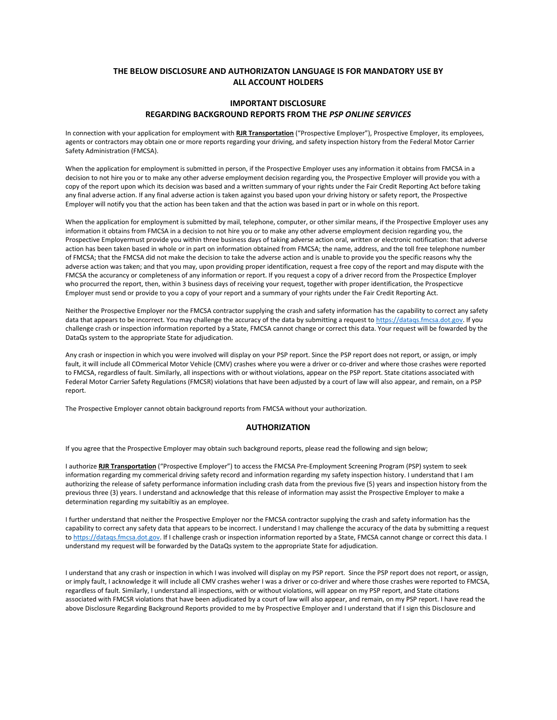### **THE BELOW DISCLOSURE AND AUTHORIZATON LANGUAGE IS FOR MANDATORY USE BY ALL ACCOUNT HOLDERS**

### **IMPORTANT DISCLOSURE REGARDING BACKGROUND REPORTS FROM THE** *PSP ONLINE SERVICES*

In connection with your application for employment with **RJR Transportation** ("Prospective Employer"), Prospective Employer, its employees, agents or contractors may obtain one or more reports regarding your driving, and safety inspection history from the Federal Motor Carrier Safety Administration (FMCSA).

When the application for employment is submitted in person, if the Prospective Employer uses any information it obtains from FMCSA in a decision to not hire you or to make any other adverse employment decision regarding you, the Prospective Employer will provide you with a copy of the report upon which its decision was based and a written summary of your rights under the Fair Credit Reporting Act before taking any final adverse action. If any final adverse action is taken against you based upon your driving history or safety report, the Prospective Employer will notify you that the action has been taken and that the action was based in part or in whole on this report.

When the application for employment is submitted by mail, telephone, computer, or other similar means, if the Prospective Employer uses any information it obtains from FMCSA in a decision to not hire you or to make any other adverse employment decision regarding you, the Prospective Employermust provide you within three business days of taking adverse action oral, written or electronic notification: that adverse action has been taken based in whole or in part on information obtained from FMCSA; the name, address, and the toll free telephone number of FMCSA; that the FMCSA did not make the decision to take the adverse action and is unable to provide you the specific reasons why the adverse action was taken; and that you may, upon providing proper identification, request a free copy of the report and may dispute with the FMCSA the accurancy or completeness of any information or report. If you request a copy of a driver record from the Prospectice Employer who procurred the report, then, within 3 business days of receiving your request, together with proper identification, the Prospecticve Employer must send or provide to you a copy of your report and a summary of your rights under the Fair Credit Reporting Act.

Neither the Prospective Employer nor the FMCSA contractor supplying the crash and safety information has the capability to correct any safety data that appears to be incorrect. You may challenge the accuracy of the data by submitting a request t[o https://dataqs.fmcsa.dot.gov.](https://dataqs.fmcsa.dot.gov/) If you challenge crash or inspection information reported by a State, FMCSA cannot change or correct this data. Your request will be fowarded by the DataQs system to the appropriate State for adjudication.

Any crash or inspection in which you were involved will display on your PSP report. Since the PSP report does not report, or assign, or imply fault, it will include all COmmerical Motor Vehicle (CMV) crashes where you were a driver or co-driver and where those crashes were reported to FMCSA, regardless of fault. Similarly, all inspections with or without violations, appear on the PSP report. State citations associated with Federal Motor Carrier Safety Regulations (FMCSR) violations that have been adjusted by a court of law will also appear, and remain, on a PSP report.

The Prospective Employer cannot obtain background reports from FMCSA without your authorization.

#### **AUTHORIZATION**

If you agree that the Prospective Employer may obtain such background reports, please read the following and sign below;

I authorize **RJR Transportation** ("Prospective Employer") to access the FMCSA Pre-Employment Screening Program (PSP) system to seek information regarding my commerical driving safety record and information regarding my safety inspection history. I understand that I am authorizing the release of safety performance information including crash data from the previous five (5) years and inspection history from the previous three (3) years. I understand and acknowledge that this release of information may assist the Prospective Employer to make a determination regarding my suitabiltiy as an employee.

I further understand that neither the Prospective Employer nor the FMCSA contractor supplying the crash and safety information has the capability to correct any safety data that appears to be incorrect. I understand I may challenge the accuracy of the data by submitting a request t[o https://dataqs.fmcsa.dot.gov.](https://dataqs.fmcsa.dot.gov/) If I challenge crash or inspection information reported by a State, FMCSA cannot change or correct this data. I understand my request will be forwarded by the DataQs system to the appropriate State for adjudication.

I understand that any crash or inspection in which I was involved will display on my PSP report. Since the PSP report does not report, or assign, or imply fault, I acknowledge it will include all CMV crashes weher I was a driver or co-driver and where those crashes were reported to FMCSA, regardless of fault. Similarly, I understand all inspections, with or without violations, will appear on my PSP report, and State citations associated with FMCSR violations that have been adjudicated by a court of law will also appear, and remain, on my PSP report. I have read the above Disclosure Regarding Background Reports provided to me by Prospective Employer and I understand that if I sign this Disclosure and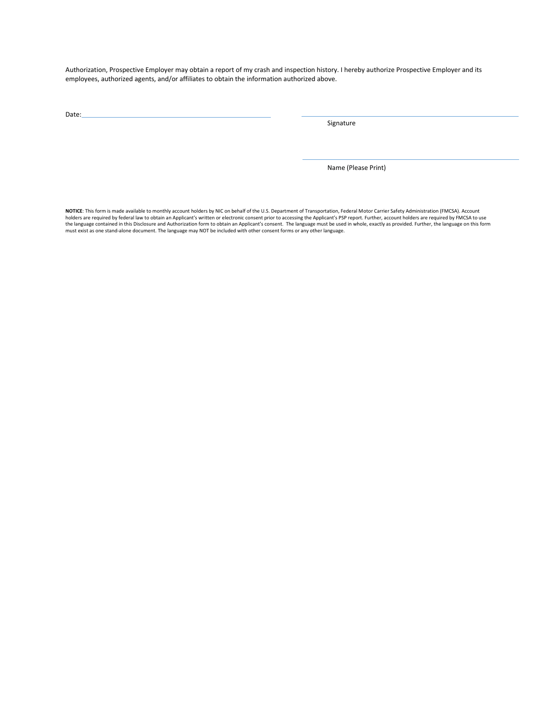Authorization, Prospective Employer may obtain a report of my crash and inspection history. I hereby authorize Prospective Employer and its employees, authorized agents, and/or affiliates to obtain the information authorized above.

Date:

Signature

Name (Please Print)

**NOTICE**: This form is made available to monthly account holders by NIC on behalf of the U.S. Department of Transportation, Federal Motor Carrier Safety Administration (FMCSA). Account holders are required by federal law to obtain an Applicant's written or electronic consent prior to accessing the Applicant's PSP report. Further, account holders are required by FMCSA to use the language contained in this Disclosure and Authorization form to obtain an Applicant's consent. The language must be used in whole, exactly as provided. Further, the language on this form<br>must exist as one stand-alone d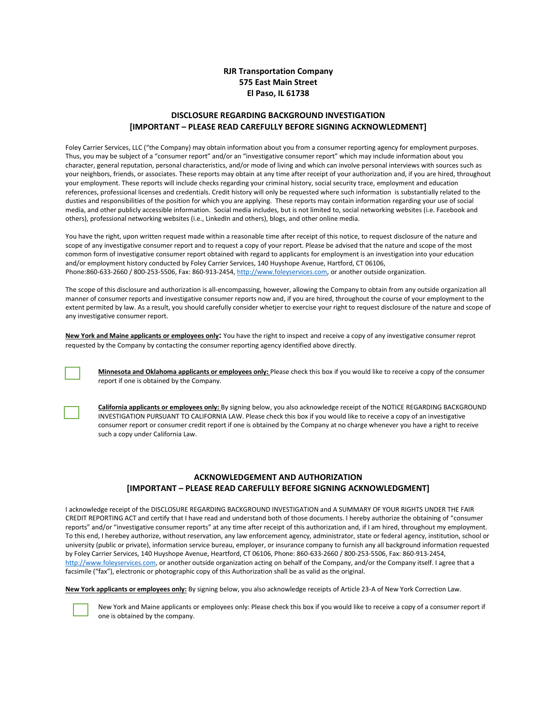### **RJR Transportation Company 575 East Main Street El Paso, IL 61738**

### **DISCLOSURE REGARDING BACKGROUND INVESTIGATION [IMPORTANT – PLEASE READ CAREFULLY BEFORE SIGNING ACKNOWLEDMENT]**

Foley Carrier Services, LLC ("the Company) may obtain information about you from a consumer reporting agency for employment purposes. Thus, you may be subject of a "consumer report" and/or an "investigative consumer report" which may include information about you character, general reputation, personal characteristics, and/or mode of living and which can involve personal interviews with sources such as your neighbors, friends, or associates. These reports may obtain at any time after receipt of your authorization and, if you are hired, throughout your employment. These reports will include checks regarding your criminal history, social security trace, employment and education references, professional licenses and credentials. Credit history will only be requested where such information is substantially related to the dusties and responsibilities of the position for which you are applying. These reports may contain information regarding your use of social media, and other publicly accessible information. Social media includes, but is not limited to, social networking websites (i.e. Facebook and others), professional networking websites (i.e., LinkedIn and others), blogs, and other online media.

You have the right, upon written request made within a reasonable time after receipt of this notice, to request disclosure of the nature and scope of any investigative consumer report and to request a copy of your report. Please be advised that the nature and scope of the most common form of investigative consumer report obtained with regard to applicants for employment is an investigation into your education and/or employment history conducted by Foley Carrier Services, 140 Huyshope Avenue, Hartford, CT 06106, Phone:860-633-2660 / 800-253-5506, Fax: 860-913-2454[, http://www.foleyservices.com,](http://www.foleyservices.com/) or another outside organization.

The scope of this disclosure and authorization is all-encompassing, however, allowing the Company to obtain from any outside organization all manner of consumer reports and investigative consumer reports now and, if you are hired, throughout the course of your employment to the extent permited by law. As a result, you should carefully consider whetjer to exercise your right to request disclosure of the nature and scope of any investigative consumer report.

**New York and Maine applicants or employees only:** You have the right to inspect and receive a copy of any investigative consumer reprot requested by the Company by contacting the consumer reporting agency identified above directly.



**Minnesota and Oklahoma applicants or employees only:** Please check this box if you would like to receive a copy of the consumer report if one is obtained by the Company.



**California applicants or employees only:** By signing below, you also acknowledge receipt of the NOTICE REGARDING BACKGROUND INVESTIGATION PURSUANT TO CALIFORNIA LAW. Please check this box if you would like to receive a copy of an investigative consumer report or consumer credit report if one is obtained by the Company at no charge whenever you have a right to receive such a copy under California Law.

### **ACKNOWLEDGEMENT AND AUTHORIZATION [IMPORTANT – PLEASE READ CAREFULLY BEFORE SIGNING ACKNOWLEDGMENT]**

I acknowledge receipt of the DISCLOSURE REGARDING BACKGROUND INVESTIGATION and A SUMMARY OF YOUR RIGHTS UNDER THE FAIR CREDIT REPORTING ACT and certify that I have read and understand both of those documents. I hereby authorize the obtaining of "consumer reports" and/or "investigative consumer reports" at any time after receipt of this authorization and, if I am hired, throughout my employment. To this end, I herebey authorize, without reservation, any law enforcement agency, administrator, state or federal agency, institution, school or university (public or private), information service bureau, employer, or insurance company to furnish any all background information requested by Foley Carrier Services, 140 Huyshope Avenue, Heartford, CT 06106, Phone: 860-633-2660 / 800-253-5506, Fax: 860-913-2454, [http://www.foleyservices.com,](http://www.foleyservices.com/) or another outside organization acting on behalf of the Company, and/or the Company itself. I agree that a facsimile ("fax"), electronic or photographic copy of this Authorization shall be as valid as the original.

**New York applicants or employees only:** By signing below, you also acknowledge receipts of Article 23-A of New York Correction Law.



New York and Maine applicants or employees only: Please check this box if you would like to receive a copy of a consumer report if one is obtained by the company.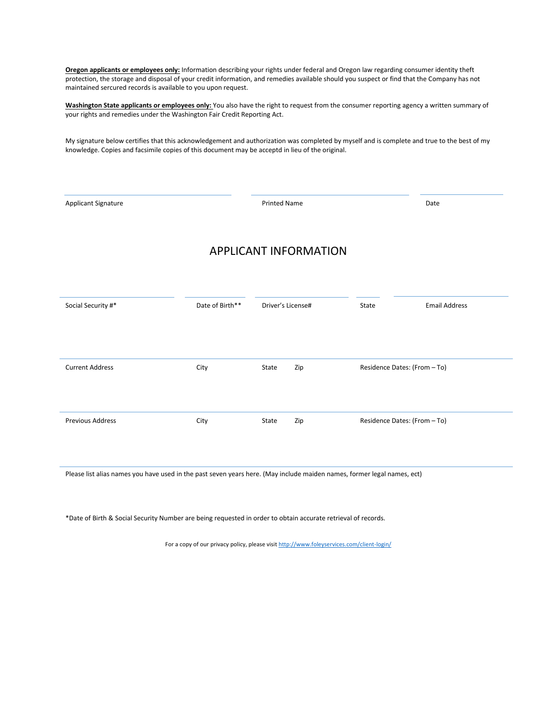**Oregon applicants or employees only:** Information describing your rights under federal and Oregon law regarding consumer identity theft protection, the storage and disposal of your credit information, and remedies available should you suspect or find that the Company has not maintained sercured records is available to you upon request.

**Washington State applicants or employees only:** You also have the right to request from the consumer reporting agency a written summary of your rights and remedies under the Washington Fair Credit Reporting Act.

My signature below certifies that this acknowledgement and authorization was completed by myself and is complete and true to the best of my knowledge. Copies and facsimile copies of this document may be acceptd in lieu of the original.

Applicant Signature **Date Contract Contract Contract Printed Name Date Date Date Date** APPLICANT INFORMATION Social Security #\* The State of Birth\*\* Driver's License# State State Email Address Current Address City City State Zip Residence Dates: (From – To) Previous Address **City** City State Zip Residence Dates: (From – To)

Please list alias names you have used in the past seven years here. (May include maiden names, former legal names, ect)

\*Date of Birth & Social Security Number are being requested in order to obtain accurate retrieval of records.

For a copy of our privacy policy, please visi[t http://www.foleyservices.com/client-login/](http://www.foleyservices.com/client-login/)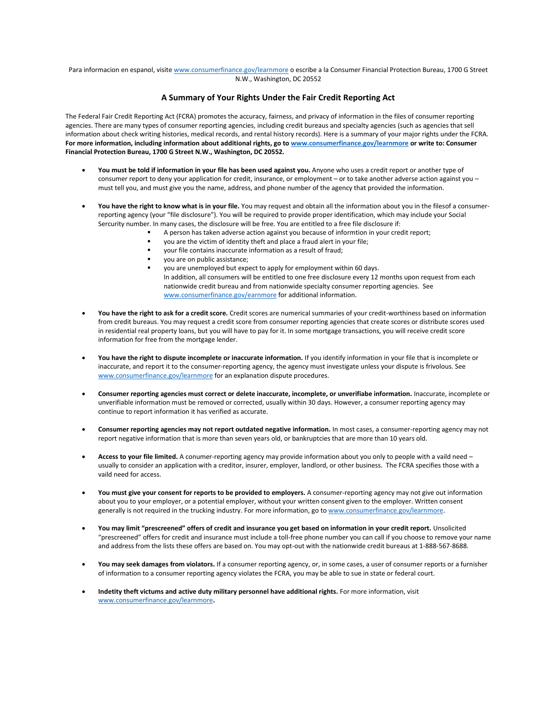Para informacion en espanol, visit[e www.consumerfinance.gov/learnmore](http://www.consumerfinance.gov/learnmore) o escribe a la Consumer Financial Protection Bureau, 1700 G Street N.W., Washington, DC 20552

### **A Summary of Your Rights Under the Fair Credit Reporting Act**

The Federal Fair Credit Reporting Act (FCRA) promotes the accuracy, fairness, and privacy of information in the files of consumer reporting agencies. There are many types of consumer reporting agencies, including credit bureaus and specialty agencies (such as agencies that sell information about check writing histories, medical records, and rental history records). Here is a summary of your major rights under the FCRA. **For more information, including information about additional rights, go t[o www.consumerfinance.gov/learnmore](http://www.consumerfinance.gov/learnmore) or write to: Consumer Financial Protection Bureau, 1700 G Street N.W., Washington, DC 20552.**

- **You must be told if information in your file has been used against you.** Anyone who uses a credit report or another type of consumer report to deny your application for credit, insurance, or employment – or to take another adverse action against you – must tell you, and must give you the name, address, and phone number of the agency that provided the information.
- **You have the right to know what is in your file.** You may request and obtain all the information about you in the filesof a consumerreporting agency (your "file disclosure"). You will be required to provide proper identification, which may include your Social Sercurity number. In many cases, the disclosure will be free. You are entitled to a free file disclosure if:
	- A person has taken adverse action against you because of informtion in your credit report;
	- you are the victim of identity theft and place a fraud alert in your file;
	- your file contains inaccurate information as a result of fraud;
	- you are on public assistance;
	- you are unemployed but expect to apply for employment within 60 days. In addition, all consumers will be entitled to one free disclosure every 12 months upon request from each nationwide credit bureau and from nationwide specialty consumer reporting agencies. See [www.consumerfinance.gov/earnmore](http://www.consumerfinance.gov/earnmore) for additional information.
- **You have the right to ask for a credit score.** Credit scores are numerical summaries of your credit-worthiness based on information from credit bureaus. You may request a credit score from consumer reporting agencies that create scores or distribute scores used in residential real property loans, but you will have to pay for it. In some mortgage transactions, you will receive credit score information for free from the mortgage lender.
- **You have the right to dispute incomplete or inaccurate information.** If you identify information in your file that is incomplete or inaccurate, and report it to the consumer-reporting agency, the agency must investigate unless your dispute is frivolous. See [www.consumerfinance.gov/learnmore](http://www.consumerfinance.gov/learnmore) for an explanation dispute procedures.
- **Consumer reporting agencies must correct or delete inaccurate, incomplete, or unverifiabe information.** Inaccurate, incomplete or unverifiable information must be removed or corrected, usually within 30 days. However, a consumer reporting agency may continue to report information it has verified as accurate.
- **Consumer reporting agencies may not report outdated negative information.** In most cases, a consumer-reporting agency may not report negative information that is more than seven years old, or bankruptcies that are more than 10 years old.
- **Access to your file limited.** A conumer-reporting agency may provide information about you only to people with a vaild need usually to consider an application with a creditor, insurer, employer, landlord, or other business. The FCRA specifies those with a vaild need for access.
- **You must give your consent for reports to be provided to employers.** A consumer-reporting agency may not give out information about you to your employer, or a potential employer, without your written consent given to the employer. Written consent generally is not required in the trucking industry. For more information, go to [www.consumerfinance.gov/learnmore.](http://www.consumerfinance.gov/learnmore)
- **You may limit "prescreened" offers of credit and insurance you get based on information in your credit report.** Unsolicited "prescreened" offers for credit and insurance must include a toll-free phone number you can call if you choose to remove your name and address from the lists these offers are based on. You may opt-out with the nationwide credit bureaus at 1-888-567-8688.
- **You may seek damages from violators.** If a consumer reporting agency, or, in some cases, a user of consumer reports or a furnisher of information to a consumer reporting agency violates the FCRA, you may be able to sue in state or federal court.
- **Indetity theft victums and active duty military personnel have additional rights.** For more information, visit [www.consumerfinance.gov/learnmore](http://www.consumerfinance.gov/learnmore)**.**